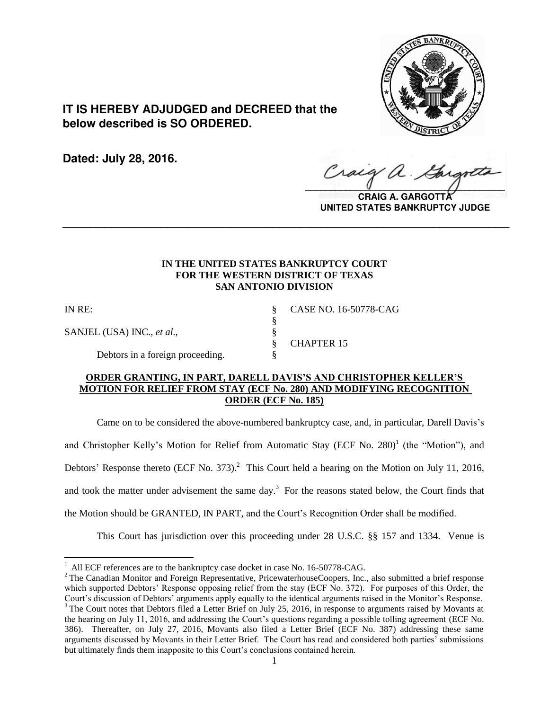

# **IT IS HEREBY ADJUDGED and DECREED that the below described is SO ORDERED.**

**Dated: July 28, 2016.**

 $\sqrt{2}$ 

**CRAIG A. GARGOTTA UNITED STATES BANKRUPTCY JUDGE**

# **IN THE UNITED STATES BANKRUPTCY COURT FOR THE WESTERN DISTRICT OF TEXAS SAN ANTONIO DIVISION**

**\_\_\_\_\_\_\_\_\_\_\_\_\_\_\_\_\_\_\_\_\_\_\_\_\_\_\_\_\_\_\_\_\_\_\_\_\_\_\_\_\_\_\_\_\_\_\_\_\_\_\_\_\_\_\_\_\_\_\_\_\_\_\_\_**

§

l

SANJEL (USA) INC., *et al.*, §

IN RE: § CASE NO. 16-50778-CAG

§ CHAPTER 15

Debtors in a foreign proceeding.  $\S$ 

# **ORDER GRANTING, IN PART, DARELL DAVIS'S AND CHRISTOPHER KELLER'S MOTION FOR RELIEF FROM STAY (ECF No. 280) AND MODIFYING RECOGNITION ORDER (ECF No. 185)**

 Came on to be considered the above-numbered bankruptcy case, and, in particular, Darell Davis's and Christopher Kelly's Motion for Relief from Automatic Stay (ECF No. 280)<sup>1</sup> (the "Motion"), and Debtors' Response thereto (ECF No. 373).<sup>2</sup> This Court held a hearing on the Motion on July 11, 2016, and took the matter under advisement the same day.<sup>3</sup> For the reasons stated below, the Court finds that the Motion should be GRANTED, IN PART, and the Court's Recognition Order shall be modified.

This Court has jurisdiction over this proceeding under 28 U.S.C. §§ 157 and 1334. Venue is

<sup>&</sup>lt;sup>1</sup> All ECF references are to the bankruptcy case docket in case No. 16-50778-CAG.

<sup>&</sup>lt;sup>2</sup> The Canadian Monitor and Foreign Representative, PricewaterhouseCoopers, Inc., also submitted a brief response which supported Debtors' Response opposing relief from the stay (ECF No. 372). For purposes of this Order, the Court's discussion of Debtors' arguments apply equally to the identical arguments raised in the Monitor's Response. <sup>3</sup> The Court notes that Debtors filed a Letter Brief on July 25, 2016, in response to arguments raised by Movants at the hearing on July 11, 2016, and addressing the Court's questions regarding a possible tolling agreement (ECF No. 386). Thereafter, on July 27, 2016, Movants also filed a Letter Brief (ECF No. 387) addressing these same arguments discussed by Movants in their Letter Brief. The Court has read and considered both parties' submissions but ultimately finds them inapposite to this Court's conclusions contained herein.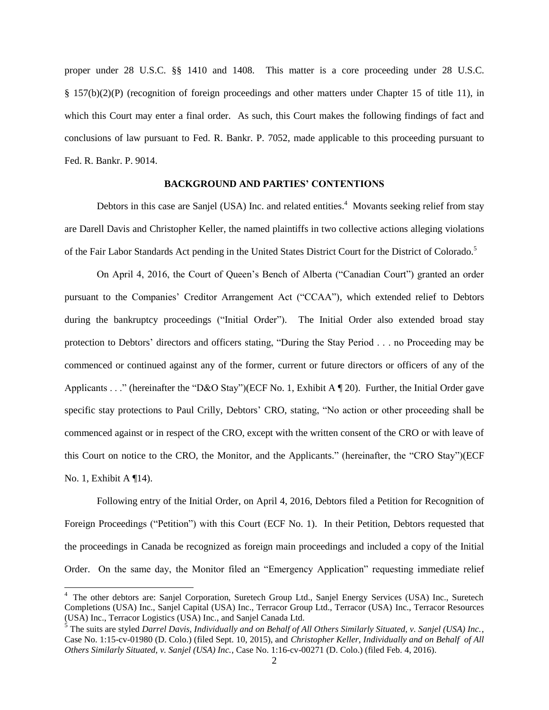proper under 28 U.S.C. §§ 1410 and 1408. This matter is a core proceeding under 28 U.S.C. § 157(b)(2)(P) (recognition of foreign proceedings and other matters under Chapter 15 of title 11), in which this Court may enter a final order. As such, this Court makes the following findings of fact and conclusions of law pursuant to Fed. R. Bankr. P. 7052, made applicable to this proceeding pursuant to Fed. R. Bankr. P. 9014.

### **BACKGROUND AND PARTIES' CONTENTIONS**

Debtors in this case are Sanjel (USA) Inc. and related entities.<sup>4</sup> Movants seeking relief from stay are Darell Davis and Christopher Keller, the named plaintiffs in two collective actions alleging violations of the Fair Labor Standards Act pending in the United States District Court for the District of Colorado.<sup>5</sup>

On April 4, 2016, the Court of Queen's Bench of Alberta ("Canadian Court") granted an order pursuant to the Companies' Creditor Arrangement Act ("CCAA"), which extended relief to Debtors during the bankruptcy proceedings ("Initial Order"). The Initial Order also extended broad stay protection to Debtors' directors and officers stating, "During the Stay Period . . . no Proceeding may be commenced or continued against any of the former, current or future directors or officers of any of the Applicants . . ." (hereinafter the "D&O Stay")(ECF No. 1, Exhibit A ¶ 20). Further, the Initial Order gave specific stay protections to Paul Crilly, Debtors' CRO, stating, "No action or other proceeding shall be commenced against or in respect of the CRO, except with the written consent of the CRO or with leave of this Court on notice to the CRO, the Monitor, and the Applicants." (hereinafter, the "CRO Stay")(ECF No. 1, Exhibit A ¶14).

Following entry of the Initial Order, on April 4, 2016, Debtors filed a Petition for Recognition of Foreign Proceedings ("Petition") with this Court (ECF No. 1). In their Petition, Debtors requested that the proceedings in Canada be recognized as foreign main proceedings and included a copy of the Initial Order. On the same day, the Monitor filed an "Emergency Application" requesting immediate relief

l

<sup>&</sup>lt;sup>4</sup> The other debtors are: Sanjel Corporation, Suretech Group Ltd., Sanjel Energy Services (USA) Inc., Suretech Completions (USA) Inc., Sanjel Capital (USA) Inc., Terracor Group Ltd., Terracor (USA) Inc., Terracor Resources (USA) Inc., Terracor Logistics (USA) Inc., and Sanjel Canada Ltd.

<sup>5</sup> The suits are styled *Darrel Davis, Individually and on Behalf of All Others Similarly Situated, v. Sanjel (USA) Inc.*, Case No. 1:15-cv-01980 (D. Colo.) (filed Sept. 10, 2015), and *Christopher Keller, Individually and on Behalf of All Others Similarly Situated, v. Sanjel (USA) Inc.*, Case No. 1:16-cv-00271 (D. Colo.) (filed Feb. 4, 2016).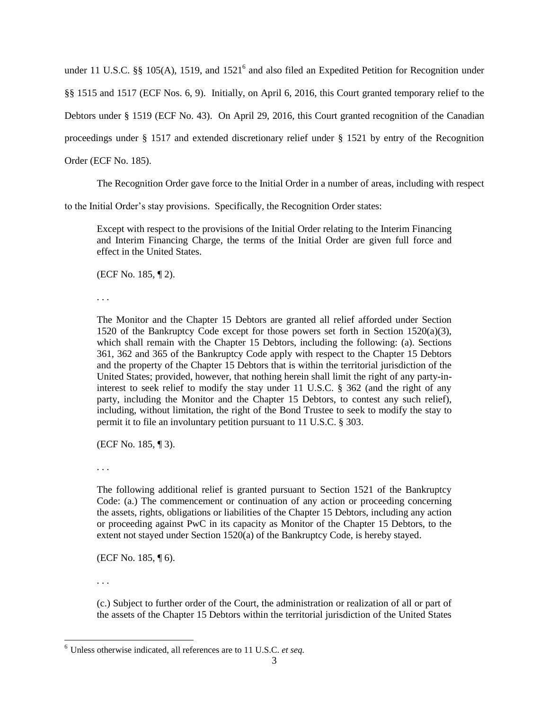under 11 U.S.C.  $\S\S$  105(A), 1519, and 1521<sup>6</sup> and also filed an Expedited Petition for Recognition under §§ 1515 and 1517 (ECF Nos. 6, 9). Initially, on April 6, 2016, this Court granted temporary relief to the Debtors under § 1519 (ECF No. 43). On April 29, 2016, this Court granted recognition of the Canadian proceedings under § 1517 and extended discretionary relief under § 1521 by entry of the Recognition Order (ECF No. 185).

The Recognition Order gave force to the Initial Order in a number of areas, including with respect

to the Initial Order's stay provisions. Specifically, the Recognition Order states:

Except with respect to the provisions of the Initial Order relating to the Interim Financing and Interim Financing Charge, the terms of the Initial Order are given full force and effect in the United States.

(ECF No. 185, ¶ 2).

. . .

The Monitor and the Chapter 15 Debtors are granted all relief afforded under Section 1520 of the Bankruptcy Code except for those powers set forth in Section 1520(a)(3), which shall remain with the Chapter 15 Debtors, including the following: (a). Sections 361, 362 and 365 of the Bankruptcy Code apply with respect to the Chapter 15 Debtors and the property of the Chapter 15 Debtors that is within the territorial jurisdiction of the United States; provided, however, that nothing herein shall limit the right of any party-ininterest to seek relief to modify the stay under 11 U.S.C. § 362 (and the right of any party, including the Monitor and the Chapter 15 Debtors, to contest any such relief), including, without limitation, the right of the Bond Trustee to seek to modify the stay to permit it to file an involuntary petition pursuant to 11 U.S.C. § 303.

(ECF No. 185, ¶ 3).

. . .

The following additional relief is granted pursuant to Section 1521 of the Bankruptcy Code: (a.) The commencement or continuation of any action or proceeding concerning the assets, rights, obligations or liabilities of the Chapter 15 Debtors, including any action or proceeding against PwC in its capacity as Monitor of the Chapter 15 Debtors, to the extent not stayed under Section 1520(a) of the Bankruptcy Code, is hereby stayed.

(ECF No. 185, ¶ 6).

. . .

l

(c.) Subject to further order of the Court, the administration or realization of all or part of the assets of the Chapter 15 Debtors within the territorial jurisdiction of the United States

<sup>6</sup> Unless otherwise indicated, all references are to 11 U.S.C. *et seq.*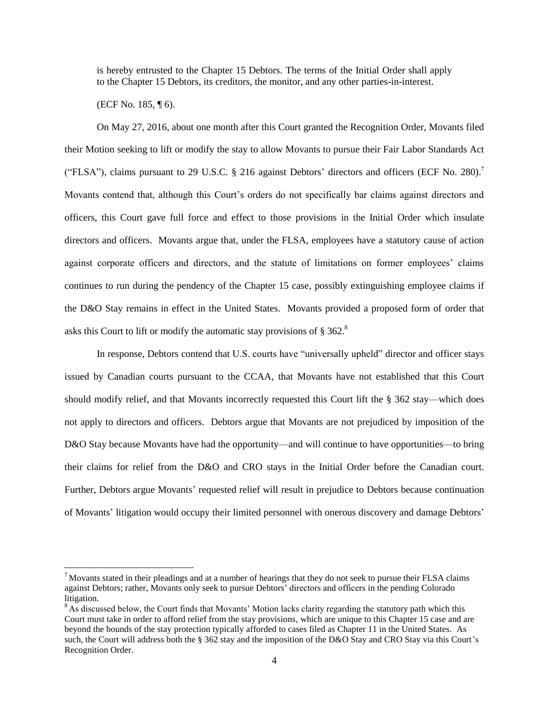is hereby entrusted to the Chapter 15 Debtors. The terms of the Initial Order shall apply to the Chapter 15 Debtors, its creditors, the monitor, and any other parties-in-interest.

(ECF No. 185, ¶ 6).

 $\overline{a}$ 

On May 27, 2016, about one month after this Court granted the Recognition Order, Movants filed their Motion seeking to lift or modify the stay to allow Movants to pursue their Fair Labor Standards Act ("FLSA"), claims pursuant to 29 U.S.C. § 216 against Debtors' directors and officers (ECF No. 280).<sup>7</sup> Movants contend that, although this Court's orders do not specifically bar claims against directors and officers, this Court gave full force and effect to those provisions in the Initial Order which insulate directors and officers. Movants argue that, under the FLSA, employees have a statutory cause of action against corporate officers and directors, and the statute of limitations on former employees' claims continues to run during the pendency of the Chapter 15 case, possibly extinguishing employee claims if the D&O Stay remains in effect in the United States. Movants provided a proposed form of order that asks this Court to lift or modify the automatic stay provisions of  $\S 362$ .

In response, Debtors contend that U.S. courts have "universally upheld" director and officer stays issued by Canadian courts pursuant to the CCAA, that Movants have not established that this Court should modify relief, and that Movants incorrectly requested this Court lift the § 362 stay—which does not apply to directors and officers. Debtors argue that Movants are not prejudiced by imposition of the D&O Stay because Movants have had the opportunity—and will continue to have opportunities—to bring their claims for relief from the D&O and CRO stays in the Initial Order before the Canadian court. Further, Debtors argue Movants' requested relief will result in prejudice to Debtors because continuation of Movants' litigation would occupy their limited personnel with onerous discovery and damage Debtors'

 $<sup>7</sup>$  Movants stated in their pleadings and at a number of hearings that they do not seek to pursue their FLSA claims</sup> against Debtors; rather, Movants only seek to pursue Debtors' directors and officers in the pending Colorado litigation.

<sup>&</sup>lt;sup>8</sup> As discussed below, the Court finds that Movants' Motion lacks clarity regarding the statutory path which this Court must take in order to afford relief from the stay provisions, which are unique to this Chapter 15 case and are beyond the bounds of the stay protection typically afforded to cases filed as Chapter 11 in the United States. As such, the Court will address both the § 362 stay and the imposition of the D&O Stay and CRO Stay via this Court's Recognition Order.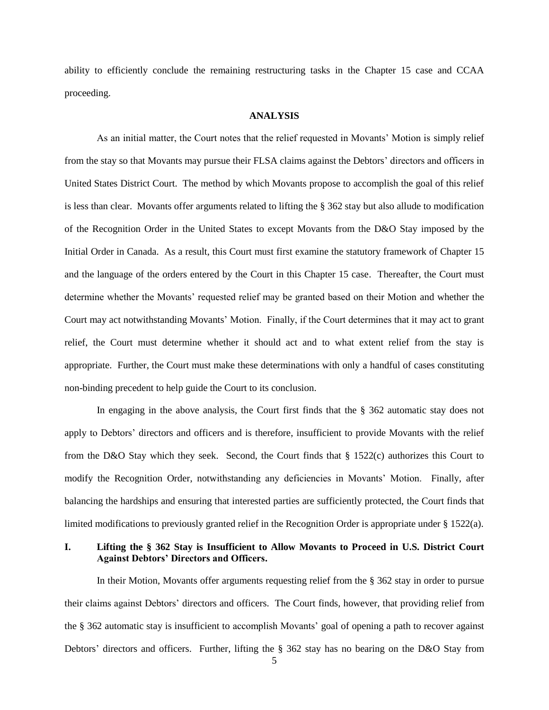ability to efficiently conclude the remaining restructuring tasks in the Chapter 15 case and CCAA proceeding.

#### **ANALYSIS**

As an initial matter, the Court notes that the relief requested in Movants' Motion is simply relief from the stay so that Movants may pursue their FLSA claims against the Debtors' directors and officers in United States District Court. The method by which Movants propose to accomplish the goal of this relief is less than clear. Movants offer arguments related to lifting the § 362 stay but also allude to modification of the Recognition Order in the United States to except Movants from the D&O Stay imposed by the Initial Order in Canada. As a result, this Court must first examine the statutory framework of Chapter 15 and the language of the orders entered by the Court in this Chapter 15 case. Thereafter, the Court must determine whether the Movants' requested relief may be granted based on their Motion and whether the Court may act notwithstanding Movants' Motion. Finally, if the Court determines that it may act to grant relief, the Court must determine whether it should act and to what extent relief from the stay is appropriate. Further, the Court must make these determinations with only a handful of cases constituting non-binding precedent to help guide the Court to its conclusion.

In engaging in the above analysis, the Court first finds that the § 362 automatic stay does not apply to Debtors' directors and officers and is therefore, insufficient to provide Movants with the relief from the D&O Stay which they seek. Second, the Court finds that § 1522(c) authorizes this Court to modify the Recognition Order, notwithstanding any deficiencies in Movants' Motion. Finally, after balancing the hardships and ensuring that interested parties are sufficiently protected, the Court finds that limited modifications to previously granted relief in the Recognition Order is appropriate under  $\S 1522(a)$ .

### **I. Lifting the § 362 Stay is Insufficient to Allow Movants to Proceed in U.S. District Court Against Debtors' Directors and Officers.**

In their Motion, Movants offer arguments requesting relief from the § 362 stay in order to pursue their claims against Debtors' directors and officers. The Court finds, however, that providing relief from the § 362 automatic stay is insufficient to accomplish Movants' goal of opening a path to recover against Debtors' directors and officers. Further, lifting the § 362 stay has no bearing on the D&O Stay from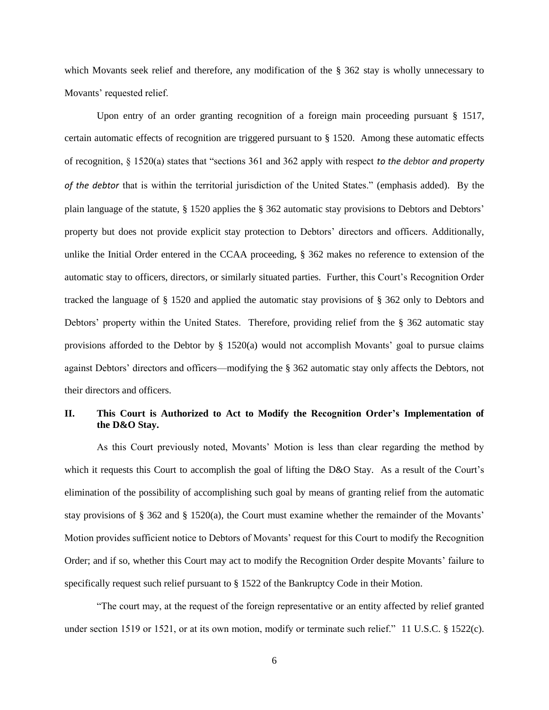which Movants seek relief and therefore, any modification of the § 362 stay is wholly unnecessary to Movants' requested relief.

Upon entry of an order granting recognition of a foreign main proceeding pursuant § 1517, certain automatic effects of recognition are triggered pursuant to § 1520. Among these automatic effects of recognition, § 1520(a) states that "sections 361 and 362 apply with respect *to the debtor and property of the debtor* that is within the territorial jurisdiction of the United States." (emphasis added). By the plain language of the statute, § 1520 applies the § 362 automatic stay provisions to Debtors and Debtors' property but does not provide explicit stay protection to Debtors' directors and officers. Additionally, unlike the Initial Order entered in the CCAA proceeding, § 362 makes no reference to extension of the automatic stay to officers, directors, or similarly situated parties. Further, this Court's Recognition Order tracked the language of § 1520 and applied the automatic stay provisions of § 362 only to Debtors and Debtors' property within the United States. Therefore, providing relief from the § 362 automatic stay provisions afforded to the Debtor by  $\S$  1520(a) would not accomplish Movants' goal to pursue claims against Debtors' directors and officers—modifying the § 362 automatic stay only affects the Debtors, not their directors and officers.

# **II. This Court is Authorized to Act to Modify the Recognition Order's Implementation of the D&O Stay.**

As this Court previously noted, Movants' Motion is less than clear regarding the method by which it requests this Court to accomplish the goal of lifting the D&O Stay. As a result of the Court's elimination of the possibility of accomplishing such goal by means of granting relief from the automatic stay provisions of § 362 and § 1520(a), the Court must examine whether the remainder of the Movants' Motion provides sufficient notice to Debtors of Movants' request for this Court to modify the Recognition Order; and if so, whether this Court may act to modify the Recognition Order despite Movants' failure to specifically request such relief pursuant to § 1522 of the Bankruptcy Code in their Motion.

"The court may, at the request of the foreign representative or an entity affected by relief granted under section 1519 or 1521, or at its own motion, modify or terminate such relief." 11 U.S.C. § 1522(c).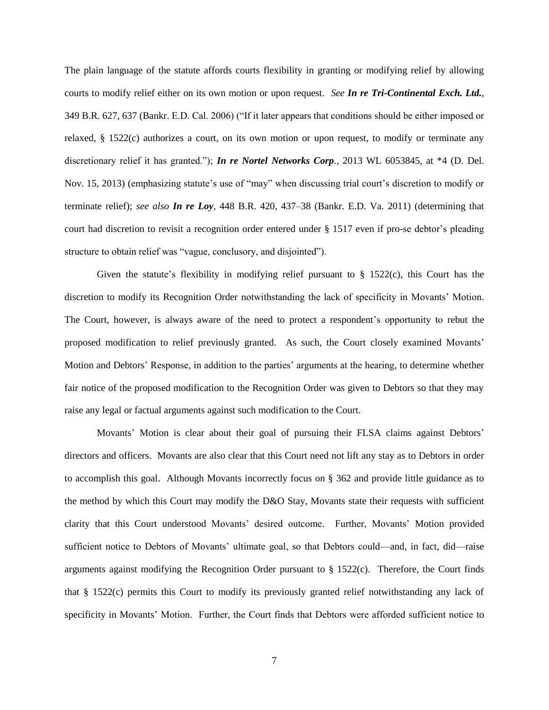The plain language of the statute affords courts flexibility in granting or modifying relief by allowing courts to modify relief either on its own motion or upon request. *See In re Tri-Continental Exch. Ltd.*, 349 B.R. 627, 637 (Bankr. E.D. Cal. 2006) ("If it later appears that conditions should be either imposed or relaxed, § 1522(c) authorizes a court, on its own motion or upon request, to modify or terminate any discretionary relief it has granted."); *In re Nortel Networks Corp.*, 2013 WL 6053845, at \*4 (D. Del. Nov. 15, 2013) (emphasizing statute's use of "may" when discussing trial court's discretion to modify or terminate relief); *see also In re Loy*, 448 B.R. 420, 437–38 (Bankr. E.D. Va. 2011) (determining that court had discretion to revisit a recognition order entered under § 1517 even if pro-se debtor's pleading structure to obtain relief was "vague, conclusory, and disjointed").

Given the statute's flexibility in modifying relief pursuant to  $\S$  1522(c), this Court has the discretion to modify its Recognition Order notwithstanding the lack of specificity in Movants' Motion. The Court, however, is always aware of the need to protect a respondent's opportunity to rebut the proposed modification to relief previously granted. As such, the Court closely examined Movants' Motion and Debtors' Response, in addition to the parties' arguments at the hearing, to determine whether fair notice of the proposed modification to the Recognition Order was given to Debtors so that they may raise any legal or factual arguments against such modification to the Court.

Movants' Motion is clear about their goal of pursuing their FLSA claims against Debtors' directors and officers. Movants are also clear that this Court need not lift any stay as to Debtors in order to accomplish this goal. Although Movants incorrectly focus on § 362 and provide little guidance as to the method by which this Court may modify the D&O Stay, Movants state their requests with sufficient clarity that this Court understood Movants' desired outcome. Further, Movants' Motion provided sufficient notice to Debtors of Movants' ultimate goal, so that Debtors could—and, in fact, did—raise arguments against modifying the Recognition Order pursuant to  $\S$  1522(c). Therefore, the Court finds that § 1522(c) permits this Court to modify its previously granted relief notwithstanding any lack of specificity in Movants' Motion. Further, the Court finds that Debtors were afforded sufficient notice to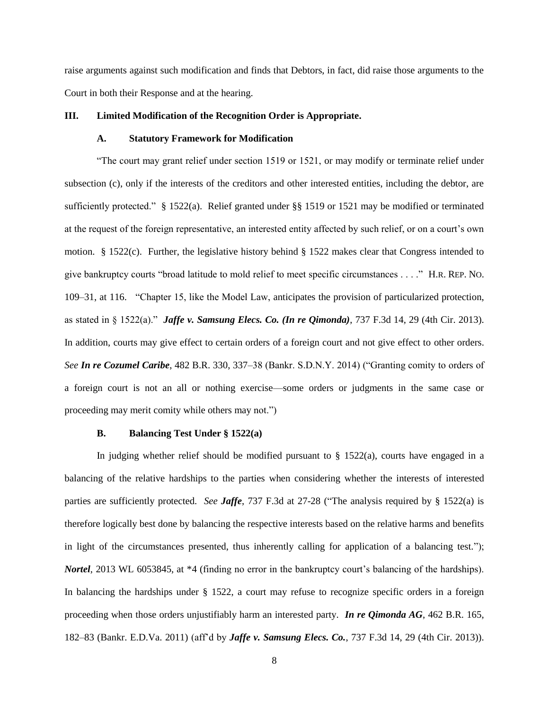raise arguments against such modification and finds that Debtors, in fact, did raise those arguments to the Court in both their Response and at the hearing.

#### **III. Limited Modification of the Recognition Order is Appropriate.**

# **A. Statutory Framework for Modification**

"The court may grant relief under section 1519 or 1521, or may modify or terminate relief under subsection (c), only if the interests of the creditors and other interested entities, including the debtor, are sufficiently protected." § 1522(a). Relief granted under §§ 1519 or 1521 may be modified or terminated at the request of the foreign representative, an interested entity affected by such relief, or on a court's own motion. § 1522(c). Further, the legislative history behind § 1522 makes clear that Congress intended to give bankruptcy courts "broad latitude to mold relief to meet specific circumstances . . . ." H.R. REP. NO. 109–31, at 116. "Chapter 15, like the Model Law, anticipates the provision of particularized protection, as stated in § 1522(a)." *Jaffe v. Samsung Elecs. Co. (In re Qimonda)*, 737 F.3d 14, 29 (4th Cir. 2013). In addition, courts may give effect to certain orders of a foreign court and not give effect to other orders. *See In re Cozumel Caribe*, 482 B.R. 330, 337–38 (Bankr. S.D.N.Y. 2014) ("Granting comity to orders of a foreign court is not an all or nothing exercise—some orders or judgments in the same case or proceeding may merit comity while others may not.")

#### **B. Balancing Test Under § 1522(a)**

In judging whether relief should be modified pursuant to  $\S$  1522(a), courts have engaged in a balancing of the relative hardships to the parties when considering whether the interests of interested parties are sufficiently protected. *See Jaffe*, 737 F.3d at 27-28 ("The analysis required by § 1522(a) is therefore logically best done by balancing the respective interests based on the relative harms and benefits in light of the circumstances presented, thus inherently calling for application of a balancing test."); *Nortel*, 2013 WL 6053845, at \*4 (finding no error in the bankruptcy court's balancing of the hardships). In balancing the hardships under § 1522, a court may refuse to recognize specific orders in a foreign proceeding when those orders unjustifiably harm an interested party. *In re Qimonda AG*, 462 B.R. 165, 182–83 (Bankr. E.D.Va. 2011) (aff'd by *Jaffe v. Samsung Elecs. Co.*, 737 F.3d 14, 29 (4th Cir. 2013)).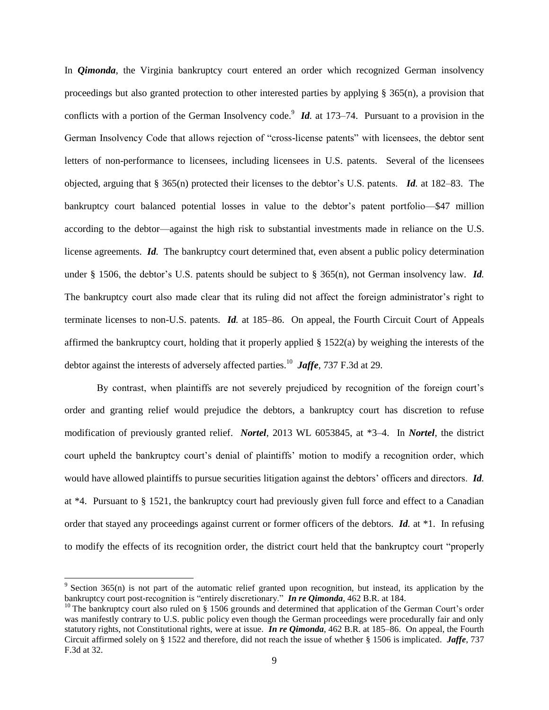In *Oimonda*, the Virginia bankruptcy court entered an order which recognized German insolvency proceedings but also granted protection to other interested parties by applying  $\S$  365(n), a provision that conflicts with a portion of the German Insolvency code.<sup>9</sup> Id. at 173–74. Pursuant to a provision in the German Insolvency Code that allows rejection of "cross-license patents" with licensees, the debtor sent letters of non-performance to licensees, including licensees in U.S. patents. Several of the licensees objected, arguing that § 365(n) protected their licenses to the debtor's U.S. patents. *Id.* at 182–83. The bankruptcy court balanced potential losses in value to the debtor's patent portfolio—\$47 million according to the debtor—against the high risk to substantial investments made in reliance on the U.S. license agreements. *Id.* The bankruptcy court determined that, even absent a public policy determination under § 1506, the debtor's U.S. patents should be subject to § 365(n), not German insolvency law. *Id.* The bankruptcy court also made clear that its ruling did not affect the foreign administrator's right to terminate licenses to non-U.S. patents. *Id.* at 185–86. On appeal, the Fourth Circuit Court of Appeals affirmed the bankruptcy court, holding that it properly applied  $\S$  1522(a) by weighing the interests of the debtor against the interests of adversely affected parties.<sup>10</sup> *Jaffe*, 737 F.3d at 29.

By contrast, when plaintiffs are not severely prejudiced by recognition of the foreign court's order and granting relief would prejudice the debtors, a bankruptcy court has discretion to refuse modification of previously granted relief. *Nortel*, 2013 WL 6053845, at \*3–4. In *Nortel*, the district court upheld the bankruptcy court's denial of plaintiffs' motion to modify a recognition order, which would have allowed plaintiffs to pursue securities litigation against the debtors' officers and directors. *Id.*  at \*4. Pursuant to § 1521, the bankruptcy court had previously given full force and effect to a Canadian order that stayed any proceedings against current or former officers of the debtors. *Id.* at \*1. In refusing to modify the effects of its recognition order, the district court held that the bankruptcy court "properly

l

 $9$  Section 365(n) is not part of the automatic relief granted upon recognition, but instead, its application by the bankruptcy court post-recognition is "entirely discretionary." *In re Qimonda*, 462 B.R. at 184.

 $10$  The bankruptcy court also ruled on § 1506 grounds and determined that application of the German Court's order was manifestly contrary to U.S. public policy even though the German proceedings were procedurally fair and only statutory rights, not Constitutional rights, were at issue. *In re Qimonda*, 462 B.R. at 185–86. On appeal, the Fourth Circuit affirmed solely on § 1522 and therefore, did not reach the issue of whether § 1506 is implicated. *Jaffe*, 737 F.3d at 32.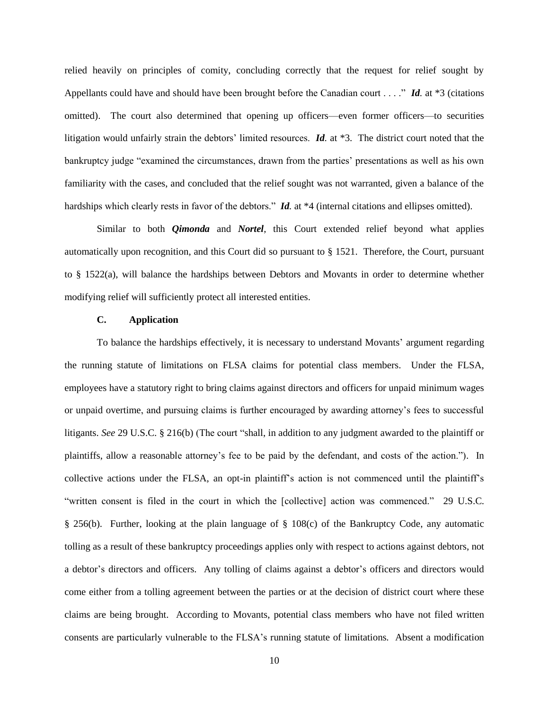relied heavily on principles of comity, concluding correctly that the request for relief sought by Appellants could have and should have been brought before the Canadian court . . . ." *Id.* at \*3 (citations omitted). The court also determined that opening up officers—even former officers—to securities litigation would unfairly strain the debtors' limited resources. *Id.* at \*3. The district court noted that the bankruptcy judge "examined the circumstances, drawn from the parties' presentations as well as his own familiarity with the cases, and concluded that the relief sought was not warranted, given a balance of the hardships which clearly rests in favor of the debtors." *Id.* at \*4 (internal citations and ellipses omitted).

Similar to both *Qimonda* and *Nortel*, this Court extended relief beyond what applies automatically upon recognition, and this Court did so pursuant to § 1521. Therefore, the Court, pursuant to § 1522(a), will balance the hardships between Debtors and Movants in order to determine whether modifying relief will sufficiently protect all interested entities.

### **C. Application**

To balance the hardships effectively, it is necessary to understand Movants' argument regarding the running statute of limitations on FLSA claims for potential class members. Under the FLSA, employees have a statutory right to bring claims against directors and officers for unpaid minimum wages or unpaid overtime, and pursuing claims is further encouraged by awarding attorney's fees to successful litigants. *See* 29 U.S.C. § 216(b) (The court "shall, in addition to any judgment awarded to the plaintiff or plaintiffs, allow a reasonable attorney's fee to be paid by the defendant, and costs of the action."). In collective actions under the FLSA, an opt-in plaintiff's action is not commenced until the plaintiff's "written consent is filed in the court in which the [collective] action was commenced." 29 U.S.C. § 256(b). Further, looking at the plain language of § 108(c) of the Bankruptcy Code, any automatic tolling as a result of these bankruptcy proceedings applies only with respect to actions against debtors, not a debtor's directors and officers. Any tolling of claims against a debtor's officers and directors would come either from a tolling agreement between the parties or at the decision of district court where these claims are being brought. According to Movants, potential class members who have not filed written consents are particularly vulnerable to the FLSA's running statute of limitations. Absent a modification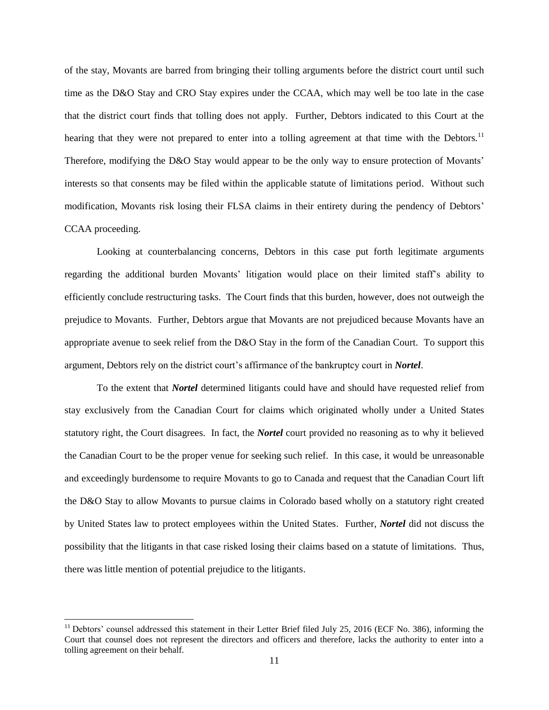of the stay, Movants are barred from bringing their tolling arguments before the district court until such time as the D&O Stay and CRO Stay expires under the CCAA, which may well be too late in the case that the district court finds that tolling does not apply. Further, Debtors indicated to this Court at the hearing that they were not prepared to enter into a tolling agreement at that time with the Debtors.<sup>11</sup> Therefore, modifying the D&O Stay would appear to be the only way to ensure protection of Movants' interests so that consents may be filed within the applicable statute of limitations period. Without such modification, Movants risk losing their FLSA claims in their entirety during the pendency of Debtors' CCAA proceeding.

Looking at counterbalancing concerns, Debtors in this case put forth legitimate arguments regarding the additional burden Movants' litigation would place on their limited staff's ability to efficiently conclude restructuring tasks. The Court finds that this burden, however, does not outweigh the prejudice to Movants. Further, Debtors argue that Movants are not prejudiced because Movants have an appropriate avenue to seek relief from the D&O Stay in the form of the Canadian Court. To support this argument, Debtors rely on the district court's affirmance of the bankruptcy court in *Nortel*.

To the extent that *Nortel* determined litigants could have and should have requested relief from stay exclusively from the Canadian Court for claims which originated wholly under a United States statutory right, the Court disagrees. In fact, the *Nortel* court provided no reasoning as to why it believed the Canadian Court to be the proper venue for seeking such relief. In this case, it would be unreasonable and exceedingly burdensome to require Movants to go to Canada and request that the Canadian Court lift the D&O Stay to allow Movants to pursue claims in Colorado based wholly on a statutory right created by United States law to protect employees within the United States. Further, *Nortel* did not discuss the possibility that the litigants in that case risked losing their claims based on a statute of limitations. Thus, there was little mention of potential prejudice to the litigants.

l

<sup>&</sup>lt;sup>11</sup> Debtors' counsel addressed this statement in their Letter Brief filed July 25, 2016 (ECF No. 386), informing the Court that counsel does not represent the directors and officers and therefore, lacks the authority to enter into a tolling agreement on their behalf.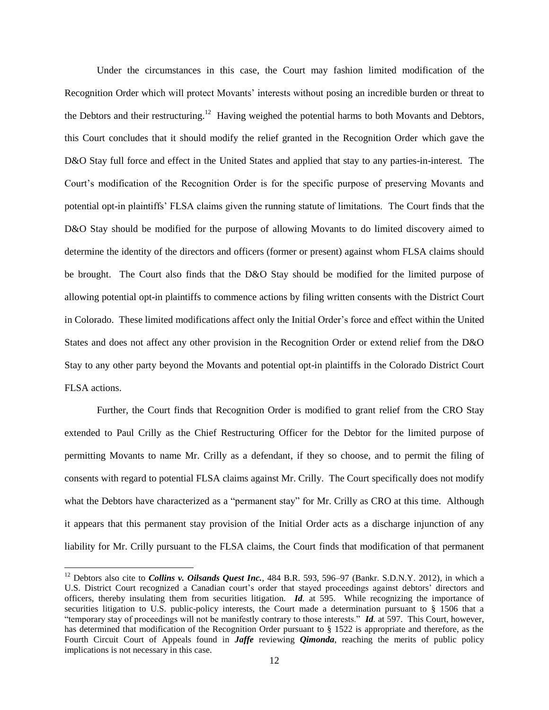Under the circumstances in this case, the Court may fashion limited modification of the Recognition Order which will protect Movants' interests without posing an incredible burden or threat to the Debtors and their restructuring.<sup>12</sup> Having weighed the potential harms to both Movants and Debtors, this Court concludes that it should modify the relief granted in the Recognition Order which gave the D&O Stay full force and effect in the United States and applied that stay to any parties-in-interest. The Court's modification of the Recognition Order is for the specific purpose of preserving Movants and potential opt-in plaintiffs' FLSA claims given the running statute of limitations. The Court finds that the D&O Stay should be modified for the purpose of allowing Movants to do limited discovery aimed to determine the identity of the directors and officers (former or present) against whom FLSA claims should be brought. The Court also finds that the D&O Stay should be modified for the limited purpose of allowing potential opt-in plaintiffs to commence actions by filing written consents with the District Court in Colorado. These limited modifications affect only the Initial Order's force and effect within the United States and does not affect any other provision in the Recognition Order or extend relief from the D&O Stay to any other party beyond the Movants and potential opt-in plaintiffs in the Colorado District Court FLSA actions.

Further, the Court finds that Recognition Order is modified to grant relief from the CRO Stay extended to Paul Crilly as the Chief Restructuring Officer for the Debtor for the limited purpose of permitting Movants to name Mr. Crilly as a defendant, if they so choose, and to permit the filing of consents with regard to potential FLSA claims against Mr. Crilly. The Court specifically does not modify what the Debtors have characterized as a "permanent stay" for Mr. Crilly as CRO at this time. Although it appears that this permanent stay provision of the Initial Order acts as a discharge injunction of any liability for Mr. Crilly pursuant to the FLSA claims, the Court finds that modification of that permanent

 $\overline{a}$ 

<sup>&</sup>lt;sup>12</sup> Debtors also cite to *Collins v. Oilsands Quest Inc.*, 484 B.R. 593, 596–97 (Bankr. S.D.N.Y. 2012), in which a U.S. District Court recognized a Canadian court's order that stayed proceedings against debtors' directors and officers, thereby insulating them from securities litigation. *Id.* at 595. While recognizing the importance of securities litigation to U.S. public-policy interests, the Court made a determination pursuant to § 1506 that a "temporary stay of proceedings will not be manifestly contrary to those interests." *Id.* at 597. This Court, however, has determined that modification of the Recognition Order pursuant to § 1522 is appropriate and therefore, as the Fourth Circuit Court of Appeals found in *Jaffe* reviewing *Qimonda*, reaching the merits of public policy implications is not necessary in this case.